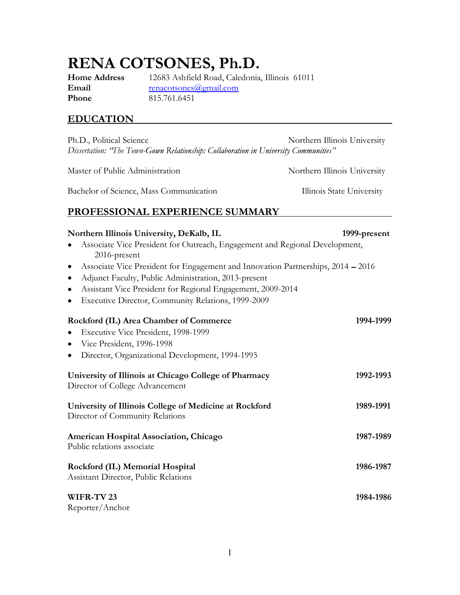# RENA COTSONES, Ph.D.

**Phone** 815.761.6451

Home Address 12683 Ashfield Road, Caledonia, Illinois 61011 Email renacotsones@gmail.com

# EDUCATION

Ph.D., Political Science Northern Illinois University Dissertation: 'The Town-Gown Relationship: Collaboration in University Communities"

Master of Public Administration Northern Illinois University

Bachelor of Science, Mass Communication Illinois State University

# PROFESSIONAL EXPERIENCE SUMMARY

| Northern Illinois University, DeKalb, IL                                                    | 1999-present |
|---------------------------------------------------------------------------------------------|--------------|
| Associate Vice President for Outreach, Engagement and Regional Development,<br>2016-present |              |
| Associate Vice President for Engagement and Innovation Partnerships, 2014 – 2016<br>٠       |              |
| Adjunct Faculty, Public Administration, 2013-present<br>$\bullet$                           |              |
| Assistant Vice President for Regional Engagement, 2009-2014<br>٠                            |              |
| Executive Director, Community Relations, 1999-2009<br>$\bullet$                             |              |
| Rockford (IL) Area Chamber of Commerce                                                      | 1994-1999    |
| Executive Vice President, 1998-1999                                                         |              |
| Vice President, 1996-1998<br>$\bullet$                                                      |              |
| Director, Organizational Development, 1994-1995                                             |              |
| University of Illinois at Chicago College of Pharmacy<br>Director of College Advancement    | 1992-1993    |
| University of Illinois College of Medicine at Rockford<br>Director of Community Relations   | 1989-1991    |
| American Hospital Association, Chicago<br>Public relations associate                        | 1987-1989    |
| Rockford (IL) Memorial Hospital<br>Assistant Director, Public Relations                     | 1986-1987    |
| WIFR-TV 23<br>Reporter/Anchor                                                               | 1984-1986    |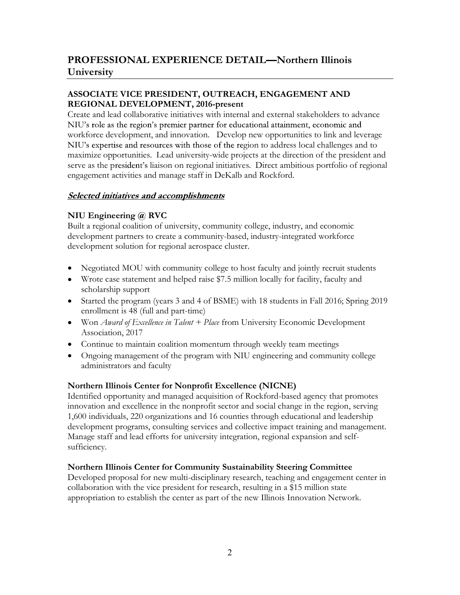### ASSOCIATE VICE PRESIDENT, OUTREACH, ENGAGEMENT AND REGIONAL DEVELOPMENT, 2016-present

Create and lead collaborative initiatives with internal and external stakeholders to advance NIU's role as the region's premier partner for educational attainment, economic and workforce development, and innovation. Develop new opportunities to link and leverage NIU's expertise and resources with those of the region to address local challenges and to maximize opportunities. Lead university-wide projects at the direction of the president and serve as the president's liaison on regional initiatives. Direct ambitious portfolio of regional engagement activities and manage staff in DeKalb and Rockford.

#### **Selected initiatives and accomplishments**

## NIU Engineering @ RVC

Built a regional coalition of university, community college, industry, and economic development partners to create a community-based, industry-integrated workforce development solution for regional aerospace cluster.

- Negotiated MOU with community college to host faculty and jointly recruit students
- Wrote case statement and helped raise \$7.5 million locally for facility, faculty and scholarship support
- Started the program (years 3 and 4 of BSME) with 18 students in Fall 2016; Spring 2019 enrollment is 48 (full and part-time)
- $\bullet$  Won Award of Excellence in Talent + Place from University Economic Development Association, 2017
- Continue to maintain coalition momentum through weekly team meetings
- Ongoing management of the program with NIU engineering and community college administrators and faculty

## Northern Illinois Center for Nonprofit Excellence (NICNE)

Identified opportunity and managed acquisition of Rockford-based agency that promotes innovation and excellence in the nonprofit sector and social change in the region, serving 1,600 individuals, 220 organizations and 16 counties through educational and leadership development programs, consulting services and collective impact training and management. Manage staff and lead efforts for university integration, regional expansion and selfsufficiency.

## Northern Illinois Center for Community Sustainability Steering Committee

Developed proposal for new multi-disciplinary research, teaching and engagement center in collaboration with the vice president for research, resulting in a \$15 million state appropriation to establish the center as part of the new Illinois Innovation Network.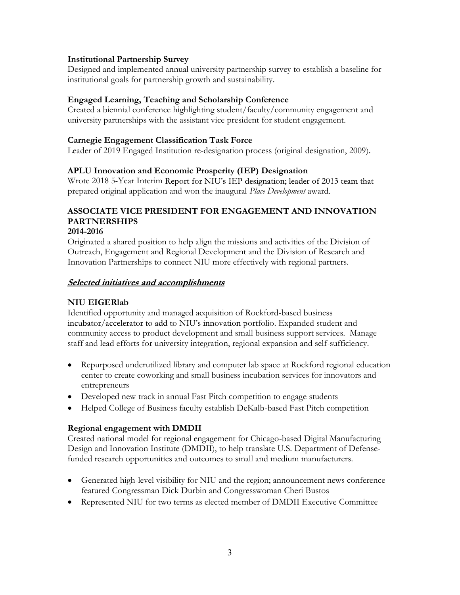#### Institutional Partnership Survey

Designed and implemented annual university partnership survey to establish a baseline for institutional goals for partnership growth and sustainability.

#### Engaged Learning, Teaching and Scholarship Conference

Created a biennial conference highlighting student/faculty/community engagement and university partnerships with the assistant vice president for student engagement.

#### Carnegie Engagement Classification Task Force

Leader of 2019 Engaged Institution re-designation process (original designation, 2009).

#### APLU Innovation and Economic Prosperity (IEP) Designation

Wrote 2018 5-Year Interim Report for NIU's IEP designation; leader of 2013 team that prepared original application and won the inaugural Place Development award.

# ASSOCIATE VICE PRESIDENT FOR ENGAGEMENT AND INNOVATION PARTNERSHIPS

# 2014-2016

Originated a shared position to help align the missions and activities of the Division of Outreach, Engagement and Regional Development and the Division of Research and Innovation Partnerships to connect NIU more effectively with regional partners.

#### **Selected initiatives and accomplishments**

#### NIU EIGERlab

Identified opportunity and managed acquisition of Rockford-based business incubator/accelerator to add to NIU's innovation portfolio. Expanded student and community access to product development and small business support services. Manage staff and lead efforts for university integration, regional expansion and self-sufficiency.

- Repurposed underutilized library and computer lab space at Rockford regional education center to create coworking and small business incubation services for innovators and entrepreneurs
- Developed new track in annual Fast Pitch competition to engage students
- Helped College of Business faculty establish DeKalb-based Fast Pitch competition

#### Regional engagement with DMDII

Created national model for regional engagement for Chicago-based Digital Manufacturing Design and Innovation Institute (DMDII), to help translate U.S. Department of Defensefunded research opportunities and outcomes to small and medium manufacturers.

- Generated high-level visibility for NIU and the region; announcement news conference featured Congressman Dick Durbin and Congresswoman Cheri Bustos
- Represented NIU for two terms as elected member of DMDII Executive Committee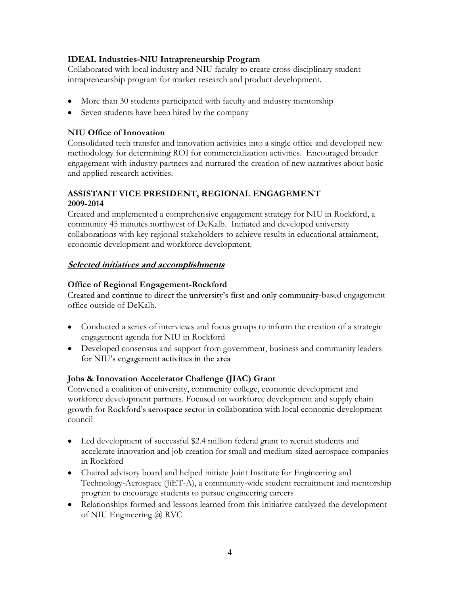#### IDEAL Industries-NIU Intrapreneurship Program

Collaborated with local industry and NIU faculty to create cross-disciplinary student intrapreneurship program for market research and product development.

- More than 30 students participated with faculty and industry mentorship
- Seven students have been hired by the company

#### NIU Office of Innovation

Consolidated tech transfer and innovation activities into a single office and developed new methodology for determining ROI for commercialization activities. Encouraged broader engagement with industry partners and nurtured the creation of new narratives about basic and applied research activities.

#### ASSISTANT VICE PRESIDENT, REGIONAL ENGAGEMENT 2009-2014

Created and implemented a comprehensive engagement strategy for NIU in Rockford, a community 45 minutes northwest of DeKalb. Initiated and developed university collaborations with key regional stakeholders to achieve results in educational attainment, economic development and workforce development.

#### **Selected initiatives and accomplishments**

#### Office of Regional Engagement-Rockford

Created and continue to direct the university's first and only community-based engagement office outside of DeKalb.

- Conducted a series of interviews and focus groups to inform the creation of a strategic engagement agenda for NIU in Rockford
- Developed consensus and support from government, business and community leaders for NIU's engagement activities in the area

#### Jobs & Innovation Accelerator Challenge (JIAC) Grant

Convened a coalition of university, community college, economic development and workforce development partners. Focused on workforce development and supply chain growth for Rockford's aerospace sector in collaboration with local economic development council

- Led development of successful \$2.4 million federal grant to recruit students and accelerate innovation and job creation for small and medium-sized aerospace companies in Rockford
- Chaired advisory board and helped initiate Joint Institute for Engineering and Technology-Aerospace (JiET-A), a community-wide student recruitment and mentorship program to encourage students to pursue engineering careers
- Relationships formed and lessons learned from this initiative catalyzed the development of NIU Engineering @ RVC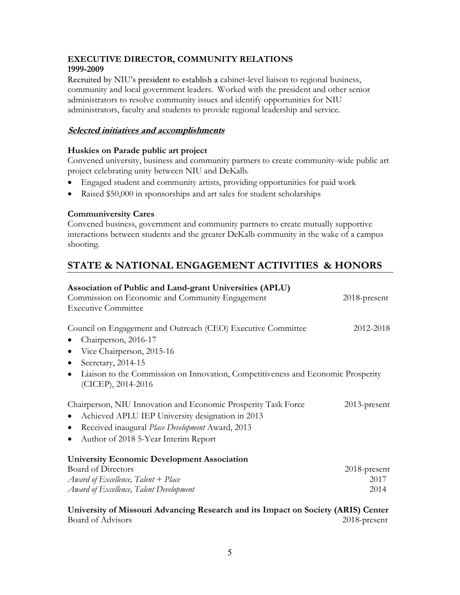#### EXECUTIVE DIRECTOR, COMMUNITY RELATIONS 1999-2009

Recruited by NIU's president to establish a cabinet-level liaison to regional business, community and local government leaders. Worked with the president and other senior administrators to resolve community issues and identify opportunities for NIU administrators, faculty and students to provide regional leadership and service.

#### **Selected initiatives and accomplishments**

#### Huskies on Parade public art project

Convened university, business and community partners to create community-wide public art project celebrating unity between NIU and DeKalb.

- Engaged student and community artists, providing opportunities for paid work
- Raised \$50,000 in sponsorships and art sales for student scholarships

#### Communiversity Cares

Convened business, government and community partners to create mutually supportive interactions between students and the greater DeKalb community in the wake of a campus shooting.

# STATE & NATIONAL ENGAGEMENT ACTIVITIES & HONORS

| Association of Public and Land-grant Universities (APLU)                                                                                                                                                                                                                                                                           |                 |
|------------------------------------------------------------------------------------------------------------------------------------------------------------------------------------------------------------------------------------------------------------------------------------------------------------------------------------|-----------------|
| Commission on Economic and Community Engagement                                                                                                                                                                                                                                                                                    | $2018$ -present |
| <b>Executive Committee</b>                                                                                                                                                                                                                                                                                                         |                 |
| Council on Engagement and Outreach (CEO) Executive Committee                                                                                                                                                                                                                                                                       | 2012-2018       |
| Chairperson, 2016-17                                                                                                                                                                                                                                                                                                               |                 |
| Vice Chairperson, 2015-16                                                                                                                                                                                                                                                                                                          |                 |
| Secretary, 2014-15<br>$\bullet$                                                                                                                                                                                                                                                                                                    |                 |
| Liaison to the Commission on Innovation, Competitiveness and Economic Prosperity<br>$\bullet$<br>(CICEP), 2014-2016                                                                                                                                                                                                                |                 |
| Chairperson, NIU Innovation and Economic Prosperity Task Force                                                                                                                                                                                                                                                                     | $2013$ -present |
| Achieved APLU IEP University designation in 2013<br>$\bullet$                                                                                                                                                                                                                                                                      |                 |
| Received inaugural Place Development Award, 2013                                                                                                                                                                                                                                                                                   |                 |
| Author of 2018 5-Year Interim Report<br>$\bullet$                                                                                                                                                                                                                                                                                  |                 |
| <b>University Economic Development Association</b>                                                                                                                                                                                                                                                                                 |                 |
| <b>Board of Directors</b>                                                                                                                                                                                                                                                                                                          | 2018-present    |
| Award of Excellence, Talent $+$ Place                                                                                                                                                                                                                                                                                              | 2017            |
| Award of Excellence, Talent Development                                                                                                                                                                                                                                                                                            | 2014            |
| $\mathbf{A}$ $\mathbf{A}$ $\mathbf{A}$ $\mathbf{A}$ $\mathbf{A}$ $\mathbf{A}$ $\mathbf{A}$ $\mathbf{A}$ $\mathbf{A}$ $\mathbf{A}$ $\mathbf{A}$ $\mathbf{A}$ $\mathbf{A}$ $\mathbf{A}$ $\mathbf{A}$ $\mathbf{A}$ $\mathbf{A}$ $\mathbf{A}$ $\mathbf{A}$ $\mathbf{A}$ $\mathbf{A}$ $\mathbf{A}$ $\mathbf{A}$ $\mathbf{A}$ $\mathbf{$ |                 |

University of Missouri Advancing Research and its Impact on Society (ARIS) Center Board of Advisors 2018-present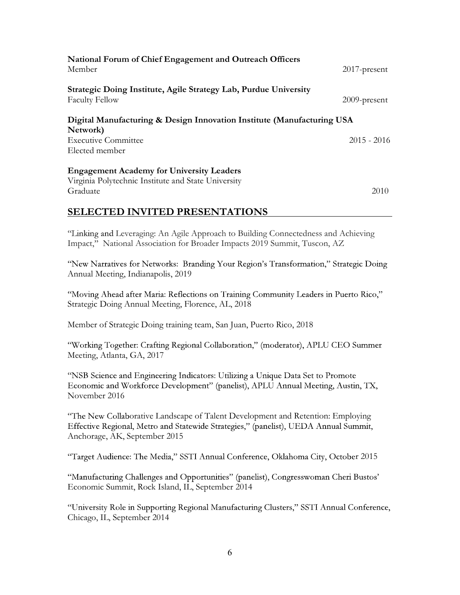| National Forum of Chief Engagement and Outreach Officers<br>Member                        | $2017$ -present |
|-------------------------------------------------------------------------------------------|-----------------|
| Strategic Doing Institute, Agile Strategy Lab, Purdue University<br><b>Faculty Fellow</b> | $2009$ -present |
| Digital Manufacturing & Design Innovation Institute (Manufacturing USA<br>Network)        |                 |
| <b>Executive Committee</b>                                                                | $2015 - 2016$   |
| Elected member                                                                            |                 |
| <b>Engagement Academy for University Leaders</b>                                          |                 |
| Virginia Polytechnic Institute and State University                                       |                 |
| Graduate                                                                                  | 2010            |

#### SELECTED INVITED PRESENTATIONS

"Linking and Leveraging: An Agile Approach to Building Connectedness and Achieving Impact," National Association for Broader Impacts 2019 Summit, Tuscon, AZ

"New Narratives for Networks: Branding Your Region's Transformation," Strategic Doing Annual Meeting, Indianapolis, 2019

"Moving Ahead after Maria: Reflections on Training Community Leaders in Puerto Rico," Strategic Doing Annual Meeting, Florence, AL, 2018

Member of Strategic Doing training team, San Juan, Puerto Rico, 2018

"Working Together: Crafting Regional Collaboration," (moderator), APLU CEO Summer Meeting, Atlanta, GA, 2017

"NSB Science and Engineering Indicators: Utilizing a Unique Data Set to Promote Economic and Workforce Development" (panelist), APLU Annual Meeting, Austin, TX, November 2016

"The New Collaborative Landscape of Talent Development and Retention: Employing Effective Regional, Metro and Statewide Strategies," (panelist), UEDA Annual Summit, Anchorage, AK, September 2015

"Target Audience: The Media," SSTI Annual Conference, Oklahoma City, October 2015

"Manufacturing Challenges and Opportunities" (panelist), Congresswoman Cheri Bustos' Economic Summit, Rock Island, IL, September 2014

"University Role in Supporting Regional Manufacturing Clusters," SSTI Annual Conference, Chicago, IL, September 2014